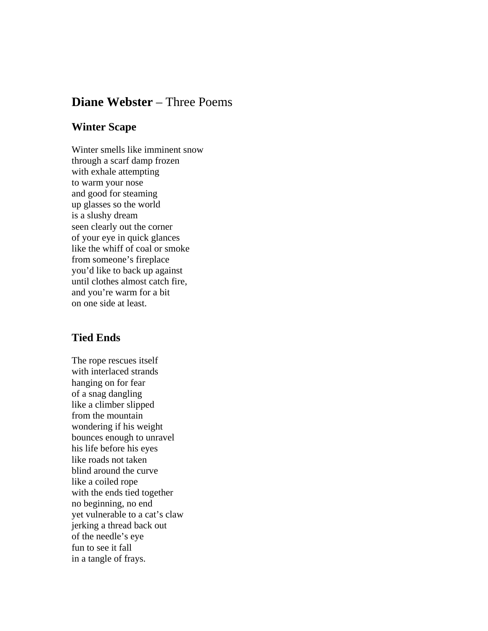## **Diane Webster** – Three Poems

## **Winter Scape**

Winter smells like imminent snow through a scarf damp frozen with exhale attempting to warm your nose and good for steaming up glasses so the world is a slushy dream seen clearly out the corner of your eye in quick glances like the whiff of coal or smoke from someone's fireplace you'd like to back up against until clothes almost catch fire, and you're warm for a bit on one side at least.

## **Tied Ends**

The rope rescues itself with interlaced strands hanging on for fear of a snag dangling like a climber slipped from the mountain wondering if his weight bounces enough to unravel his life before his eyes like roads not taken blind around the curve like a coiled rope with the ends tied together no beginning, no end yet vulnerable to a cat's claw jerking a thread back out of the needle's eye fun to see it fall in a tangle of frays.